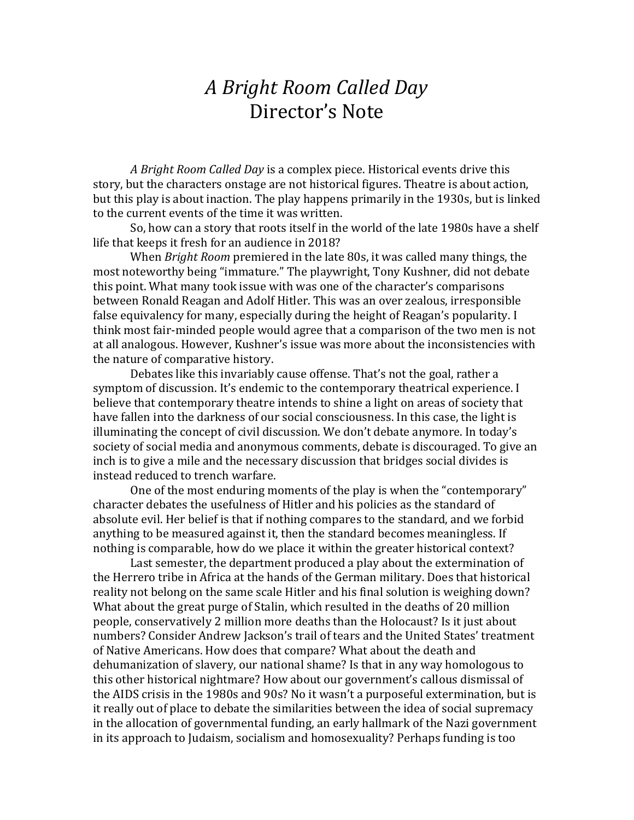## *A Bright Room Called Day*  Director's Note

*A Bright Room Called Day* is a complex piece. Historical events drive this story, but the characters onstage are not historical figures. Theatre is about action, but this play is about inaction. The play happens primarily in the 1930s, but is linked to the current events of the time it was written.

So, how can a story that roots itself in the world of the late 1980s have a shelf life that keeps it fresh for an audience in 2018?

When *Bright Room* premiered in the late 80s, it was called many things, the most noteworthy being "immature." The playwright, Tony Kushner, did not debate this point. What many took issue with was one of the character's comparisons between Ronald Reagan and Adolf Hitler. This was an over zealous, irresponsible false equivalency for many, especially during the height of Reagan's popularity. I think most fair-minded people would agree that a comparison of the two men is not at all analogous. However, Kushner's issue was more about the inconsistencies with the nature of comparative history.

Debates like this invariably cause offense. That's not the goal, rather a symptom of discussion. It's endemic to the contemporary theatrical experience. I believe that contemporary theatre intends to shine a light on areas of society that have fallen into the darkness of our social consciousness. In this case, the light is illuminating the concept of civil discussion. We don't debate anymore. In today's society of social media and anonymous comments, debate is discouraged. To give an inch is to give a mile and the necessary discussion that bridges social divides is instead reduced to trench warfare.

One of the most enduring moments of the play is when the "contemporary" character debates the usefulness of Hitler and his policies as the standard of absolute evil. Her belief is that if nothing compares to the standard, and we forbid anything to be measured against it, then the standard becomes meaningless. If nothing is comparable, how do we place it within the greater historical context?

Last semester, the department produced a play about the extermination of the Herrero tribe in Africa at the hands of the German military. Does that historical reality not belong on the same scale Hitler and his final solution is weighing down? What about the great purge of Stalin, which resulted in the deaths of 20 million people, conservatively 2 million more deaths than the Holocaust? Is it just about numbers? Consider Andrew Jackson's trail of tears and the United States' treatment of Native Americans. How does that compare? What about the death and dehumanization of slavery, our national shame? Is that in any way homologous to this other historical nightmare? How about our government's callous dismissal of the AIDS crisis in the 1980s and 90s? No it wasn't a purposeful extermination, but is it really out of place to debate the similarities between the idea of social supremacy in the allocation of governmental funding, an early hallmark of the Nazi government in its approach to Judaism, socialism and homosexuality? Perhaps funding is too